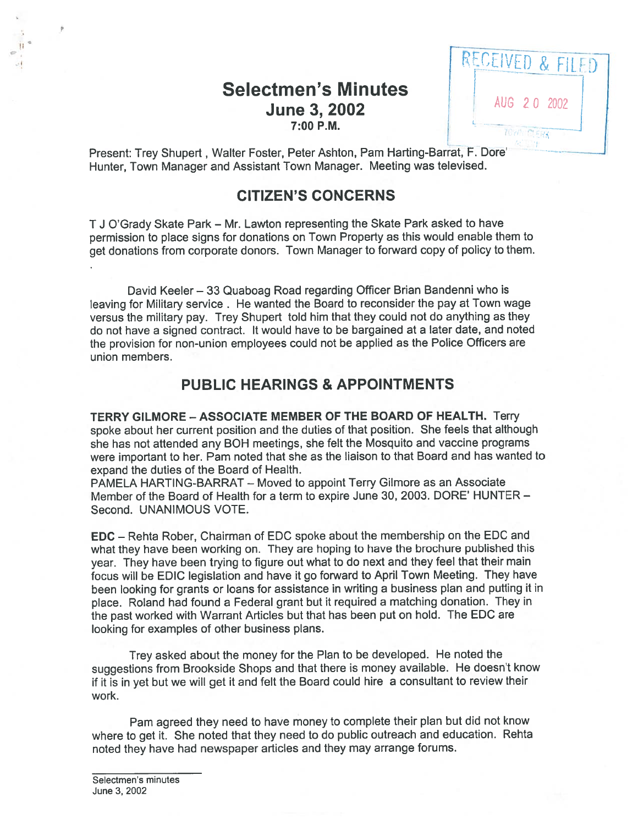# Selectmen's Minutes **June 3, 2002** AUG 2 0 2002



Present: Trey Shupert, Walter Foster, Peter Ashton, Pam Harting-Barrat, F. Dore' Hunter, Town Manager and Assistant Town Manager. Meeting was televised.

### CITIZEN'S CONCERNS

<sup>T</sup> <sup>J</sup> O'Grady Skate Park — Mr. Lawton representing the Skate Park asked to have permission to <sup>p</sup>lace signs for donations on Town Property as this would enable them to ge<sup>t</sup> donations from corporate donors. Town Manager to forward copy of policy to them.

David Keeler — 33 Quaboag Road regarding Officer Brian Bandenni who is leaving for Military service . He wanted the Board to reconsider the pay at Town wage versus the military pay. Trey Shupert told him that they could not do anything as they do not have <sup>a</sup> signed contract, It would have to be bargained at <sup>a</sup> later date, and noted the provision for non-union employees could not be applied as the Police Officers are union members.

## PUBLIC HEARINGS & APPOINTMENTS

TERRY GILMORE — ASSOCIATE MEMBER OF THE BOARD OF HEALTH. Terry spoke about her current position and the duties of that position. She feels that although she has not attended any BOH meetings, she felt the Mosquito and vaccine programs were important to her. Pam noted that she as the liaison to that Board and has wanted to expand the duties of the Board of Health.

PAMELA HARTING-BARRAT — Moved to appoint Terry Gilmore as an Associate Member of the Board of Health for <sup>a</sup> term to expire June 30, 2003. DORE' HUNTER — Second. UNANIMOUS VOTE.

EDC — Rehta Rober, Chairman of EDC spoke about the membership on the EDC and what they have been working on. They are hoping to have the brochure published this year. They have been trying to figure out what to do next and they feel that their main focus will be EDIC legislation and have it go forward to April Town Meeting. They have been looking for grants or loans for assistance in writing <sup>a</sup> business <sup>p</sup>lan and putting it in <sup>p</sup>lace. Roland had found <sup>a</sup> Federal gran<sup>t</sup> but it required <sup>a</sup> matching donation. They in the pas<sup>t</sup> worked with Warrant Articles but that has been pu<sup>t</sup> on hold. The EDC are looking for examples of other business plans.

Trey asked about the money for the Plan to be developed. He noted the suggestions from Brookside Shops and that there is money available. He doesn't know if it is in ye<sup>t</sup> but we will ge<sup>t</sup> it and felt the Board could hire <sup>a</sup> consultant to review their work.

Pam agree<sup>d</sup> they need to have money to complete their <sup>p</sup>lan but did not know where to ge<sup>t</sup> it. She noted that they need to do public outreach and education. Rehta noted they have had newspaper articles and they may arrange forums.

 $\bar{p}$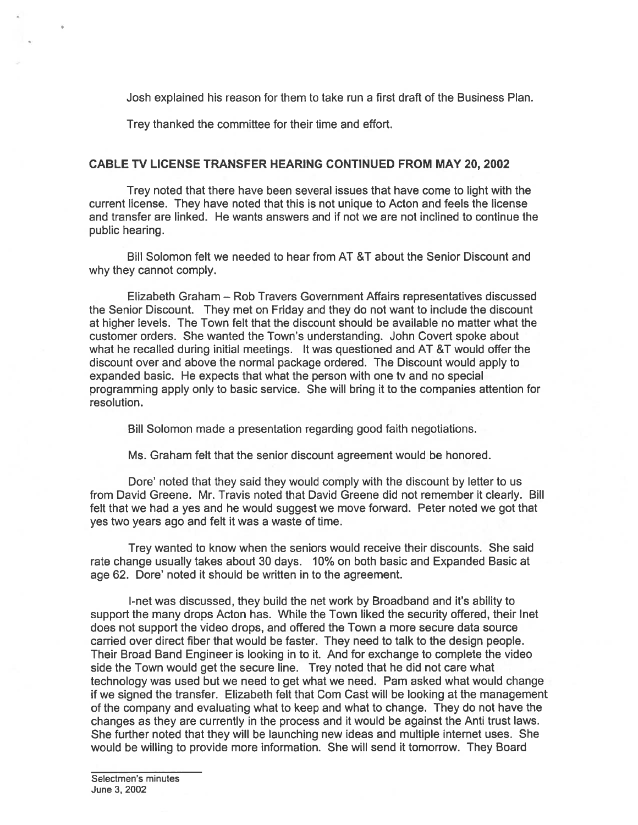Josh explained his reason for them to take run <sup>a</sup> first draft of the Business Plan.

Trey thanked the committee for their time and effort.

### CABLE TV LICENSE TRANSFER HEARING CONTINUED FROM MAY 20, 2002

Trey noted that there have been several issues that have come to light with the current license. They have noted that this is not unique to Acton and feels the license and transfer are linked. He wants answers and if not we are not inclined to continue the public hearing.

Bill Solomon felt we needed to hear from AT &T about the Senior Discount and why they cannot comply.

Elizabeth Graham — Rob Travers Government Affairs representatives discussed the Senior Discount. They met on Friday and they do not want to include the discount at higher levels. The Town felt that the discount should be available no matter what the customer orders. She wanted the Town's understanding. John Covert spoke about what he recalled during initial meetings. It was questioned and AT &T would offer the discount over and above the normal package ordered. The Discount would apply to expanded basic. He expects that what the person with one tv and no special programming apply only to basic service. She will bring it to the companies attention for resolution.

Bill Solomon made <sup>a</sup> presentation regarding good faith negotiations.

Ms. Graham felt that the senior discount agreemen<sup>t</sup> would be honored.

Dore' noted that they said they would comply with the discount by letter to us from David Greene. Mr. Travis noted that David Greene did not remember it clearly. Bill felt that we had <sup>a</sup> yes and he would sugges<sup>t</sup> we move forward. Peter noted we go<sup>t</sup> that yes two years ago and felt it was <sup>a</sup> waste of time.

Trey wanted to know when the seniors would receive their discounts. She said rate change usually takes about 30 days. 10% on both basic and Expanded Basic at age 62. Dore' noted it should be written in to the agreement.

I-net was discussed, they build the net work by Broadband and it's ability to suppor<sup>t</sup> the many drops Acton has. While the Town liked the security offered, their Inet does not suppor<sup>t</sup> the video drops, and offered the Town <sup>a</sup> more secure data source carried over direct fiber that would be faster. They need to talk to the design people. Their Broad Band Engineer is looking in to it. And for exchange to complete the video side the Town would ge<sup>t</sup> the secure line. Trey noted that he did not care what technology was used but we need to ge<sup>t</sup> what we need. Pam asked what would change if we signed the transfer. Elizabeth felt that Com Cast will be looking at the management of the company and evaluating what to keep and what to change. They do not have the changes as they are currently in the process and it would be against the Anti trust laws. She further noted that they will be launching new ideas and multiple internet uses. She would be willing to provide more information. She will send it tomorrow. They Board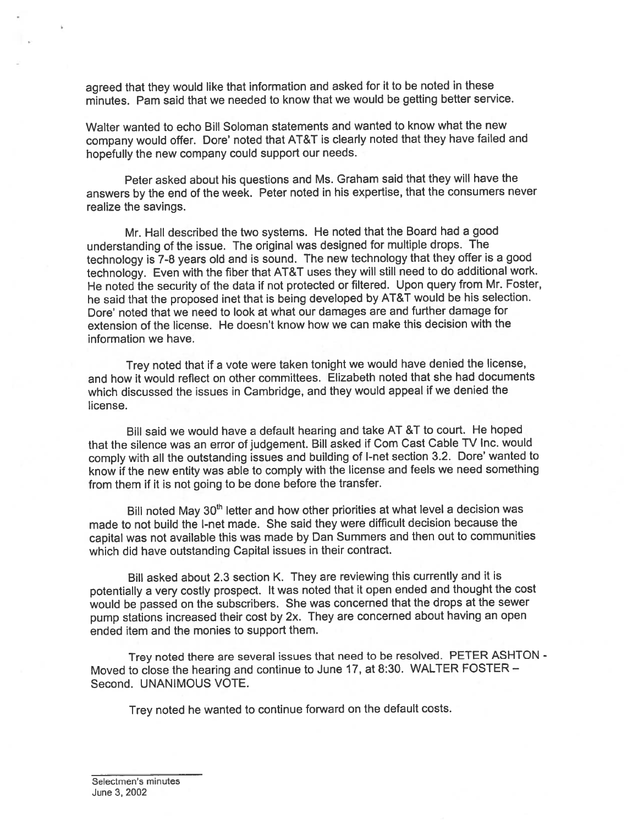agree<sup>d</sup> that they would like that information and asked for it to be noted in these minutes. Pam said that we needed to know that we would be getting better service.

Walter wanted to echo Bill Soloman statements and wanted to know what the new company would offer. Dore' noted that AT&T is clearly noted that they have failed and hopefully the new company could suppor<sup>t</sup> our needs.

Peter asked about his questions and Ms. Graham said that they will have the answers by the end of the week. Peter noted in his expertise, that the consumers never realize the savings.

Mr. Hall described the two systems. He noted that the Board had <sup>a</sup> goo<sup>d</sup> understanding of the issue. The original was designed for multiple drops. The technology is 7-8 years old and is sound. The new technology that they offer is <sup>a</sup> goo<sup>d</sup> technology. Even with the fiber that AT&T uses they will still need to do additional work. He noted the security of the data if not protected or filtered. Upon query from Mr. Foster, he said that the propose<sup>d</sup> met that is being developed by AT&T would be his selection. Dore' noted that we need to look at what our damages are and further damage for extension of the license. He doesn't know how we can make this decision with the information we have.

Trey noted that if <sup>a</sup> vote were taken tonight we would have denied the license, and how it would reflect on other committees. Elizabeth noted that she had documents which discussed the issues in Cambridge, and they would appea<sup>l</sup> if we denied the license.

Bill said we would have a default hearing and take AT &T to court. He hoped that the silence was an error of judgement. Bill asked if Com Cast Cable TV Inc. would comply with all the outstanding issues and building of I-net section 3.2. Dore' wanted to know if the new entity was able to comply with the license and feels we need something from them if it is not going to be done before the transfer.

Bill noted May 30<sup>th</sup> letter and how other priorities at what level a decision was made to not build the I-net made. She said they were difficult decision because the capital was not available this was made by Dan Summers and then out to communities which did have outstanding Capital issues in their contract.

Bill asked about 2.3 section K. They are reviewing this currently and it is potentially <sup>a</sup> very costly prospect. It was noted that it open ended and thought the cost would be passe<sup>d</sup> on the subscribers. She was concerned that the drops at the sewer pump stations increased their cost by 2x. They are concerned about having an open ended item and the monies to suppor<sup>t</sup> them.

Trey noted there are several issues that need to be resolved. PETER ASHTON - Moved to close the hearing and continue to June 17, at 8:30. WALTER FOSTER — Second. UNANIMOUS VOTE.

Trey noted he wanted to continue forward on the default costs.

Selectmen's minutes June 3, 2002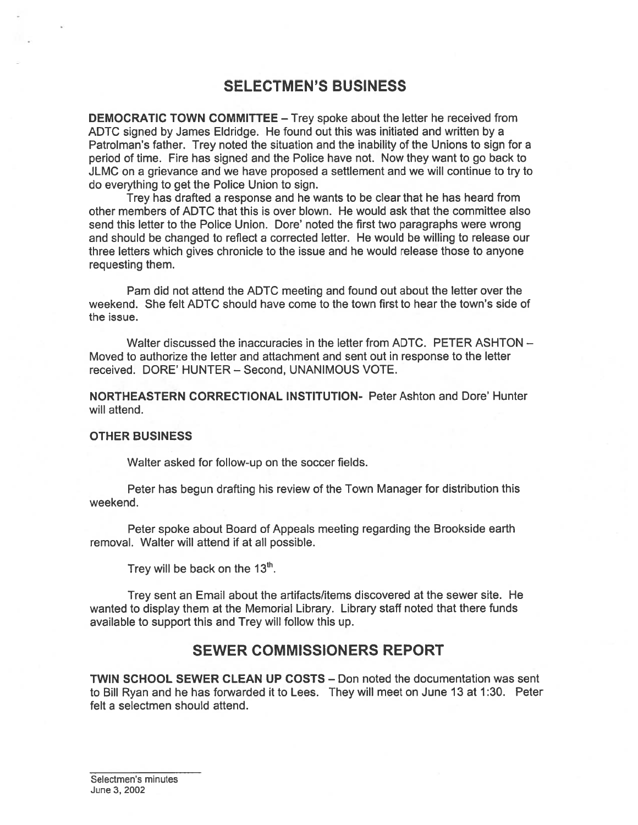# SELECTMEN'S BUSINESS

DEMOCRATIC TOWN COMMITTEE — Trey spoke about the letter he received from ADTC signed by James Eldridge. He found out this was initiated and written by <sup>a</sup> Patrolman's father. Trey noted the situation and the inability of the Unions to sign for <sup>a</sup> period of time. Fire has signed and the Police have not. Now they want to go back to JLMC on <sup>a</sup> grievance and we have proposed <sup>a</sup> settlement and we will continue to try to do everything to ge<sup>t</sup> the Police Union to sign.

Trey has drafted <sup>a</sup> response and he wants to be clear that he has heard from other members of ADTC that this is over blown. He would ask that the committee also send this letter to the Police Union. Dore' noted the first two paragraphs were wrong and should be changed to reflect <sup>a</sup> corrected letter. He would be willing to release our three letters which gives chronicle to the issue and he would release those to anyone requesting them.

Pam did not attend the ADTC meeting and found out about the letter over the weekend. She felt ADTC should have come to the town first to hear the town's side of the issue.

Walter discussed the inaccuracies in the letter from ADTC. PETER ASHTON -Moved to authorize the letter and attachment and sent out in response to the letter received. DORE' HUNTER — Second, UNANIMOUS VOTE.

NORTHEASTERN CORRECTIONAL INSTITUTION- Peter Ashton and Dote' Hunter will attend.

### OTHER BUSINESS

Walter asked for follow-up on the soccer fields.

Peter has begun drafting his review of the Town Manager for distribution this weekend.

Peter spoke about Board of Appeals meeting regarding the Brookside earth removal. Walter will attend if at all possible.

Trey will be back on the  $13<sup>th</sup>$ .

Trey sent an Email about the artifacts/items discovered at the sewer site. He wanted to display them at the Memorial Library. Library staff noted that there funds available to suppor<sup>t</sup> this and Trey will follow this up.

### SEWER COMMISSIONERS REPORT

TWIN SCHOOL SEWER CLEAN UP COSTS — Don noted the documentation was sent to Bill Ryan and he has forwarded it to Lees. They will meet on June 13 at 1:30. Peter felt <sup>a</sup> selectmen should attend.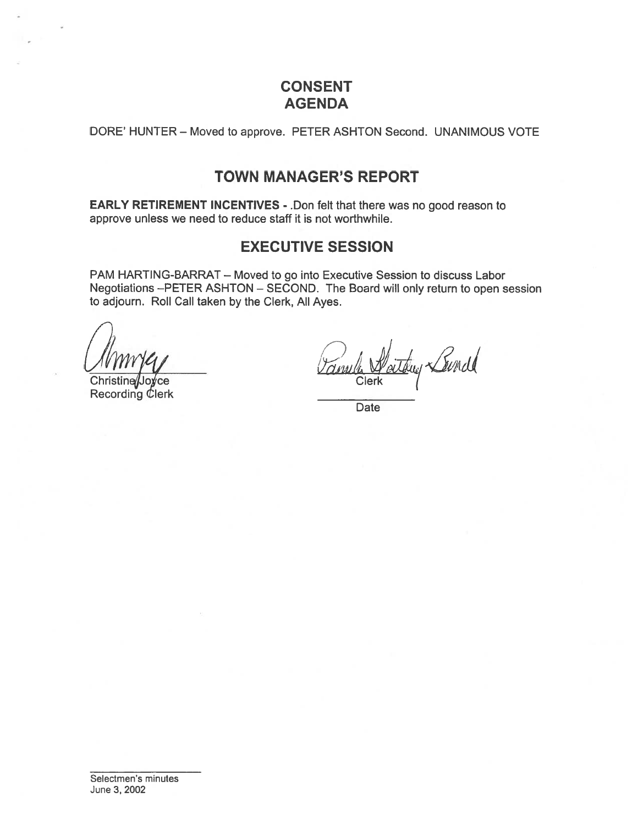# CONSENT AGENDA

DORE' HUNTER — Moved to approve. PETER ASHTON Second. UNANIMOUS VOTE

# TOWN MANAGER'S REPORT

EARLY RETIREMENT INCENTIVES - .Don felt that there was no good reason to approve unless we need to reduce staff it is not worthwhile.

# EXECUTIVE SESSION

PAM HARTING-BARRAT — Moved to go into Executive Session to discuss Labor Negotiations —PETER ASHTON — SECOND. The Board will only return to open session to adjourn. Roll Call taken by the Clerk, All Ayes.

rce **Recording Clerk** 

faithig Lound Clerk

Date

Selectmen's minutes June 3, 2002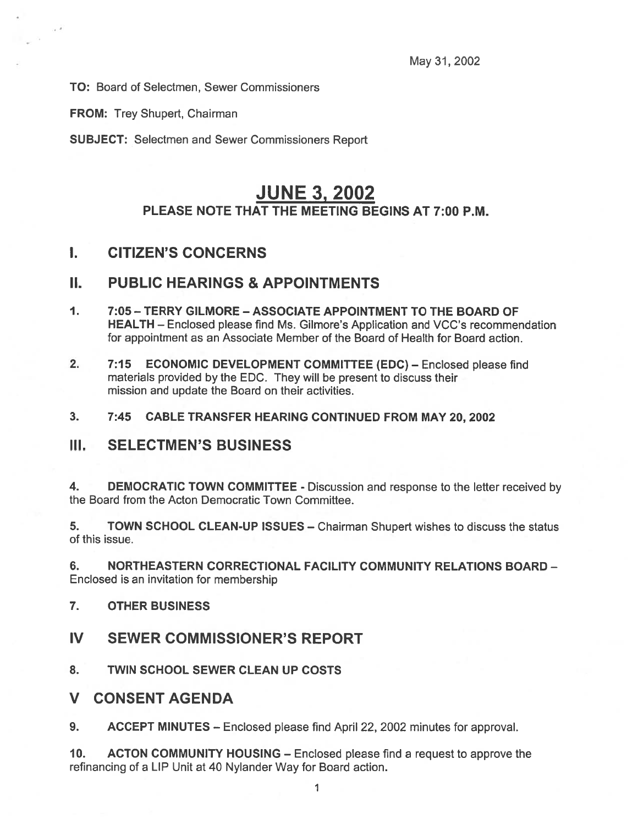TO: Board of Selectmen, Sewer Commissioners

FROM: Trey Shupert, Chairman

 $\cdot$   $\cdot$ 

SUBJECT: Selectmen and Sewer Commissioners Report

# JUNE 3, 2002 PLEASE NOTE THAT THE MEETING BEGINS AT 7:00 P.M.

# I. CITIZEN'S CONCERNS

### II. PUBLIC HEARINGS & APPOINTMENTS

- 1. 7:05 -TERRY GILMORE -ASSOCIATE APPOINTMENT TO THE BOARD OF HEALTH — Enclosed please find Ms. Gilmore's Application and VCC's recommendation for appointment as an Associate Member of the Board of Health for Board action.
- 2. 7:15 ECONOMIC DEVELOPMENT COMMITTEE (EDC) Enclosed please find materials provided by the EDC. They will be presen<sup>t</sup> to discuss their mission and update the Board on their activities.
- 3. 7:45 CABLE TRANSFER HEARING CONTINUED FROM MAY 20, 2002

### III. SELECTMEN'S BUSINESS

4. DEMOCRATIC TOWN COMMITTEE - Discussion and response to the letter received by the Board from the Acton Democratic Town Committee.

5. TOWN SCHOOL CLEAN-UP ISSUES — Chairman Shupert wishes to discuss the status of this issue.

6. NORTHEASTERN CORRECTIONAL FACILITY COMMUNITY RELATIONS BOARD - Enclosed is an invitation for membership

- 7. OTHER BUSINESS
- IV SEWER COMMISSIONER'S REPORT
- 8. TWIN SCHOOL SEWER CLEAN UP COSTS
- V CONSENT AGENDA
- 9. ACCEPT MINUTES Enclosed please find April 22, 2002 minutes for approval.

10. ACTON COMMUNITY HOUSING — Enclosed please find <sup>a</sup> reques<sup>t</sup> to approve the refinancing of <sup>a</sup> LIP Unit at 40 Nylander Way for Board action.